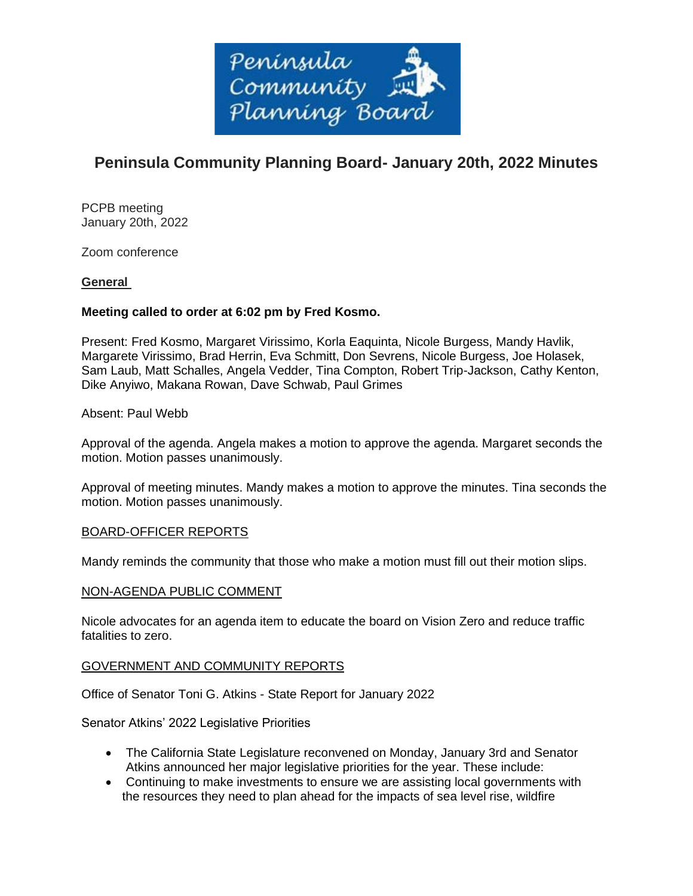

# **Peninsula Community Planning Board- January 20th, 2022 Minutes**

PCPB meeting January 20th, 2022

Zoom conference

# **General**

# **Meeting called to order at 6:02 pm by Fred Kosmo.**

Present: Fred Kosmo, Margaret Virissimo, Korla Eaquinta, Nicole Burgess, Mandy Havlik, Margarete Virissimo, Brad Herrin, Eva Schmitt, Don Sevrens, Nicole Burgess, Joe Holasek, Sam Laub, Matt Schalles, Angela Vedder, Tina Compton, Robert Trip-Jackson, Cathy Kenton, Dike Anyiwo, Makana Rowan, Dave Schwab, Paul Grimes

# Absent: Paul Webb

Approval of the agenda. Angela makes a motion to approve the agenda. Margaret seconds the motion. Motion passes unanimously.

Approval of meeting minutes. Mandy makes a motion to approve the minutes. Tina seconds the motion. Motion passes unanimously.

# BOARD-OFFICER REPORTS

Mandy reminds the community that those who make a motion must fill out their motion slips.

# NON-AGENDA PUBLIC COMMENT

Nicole advocates for an agenda item to educate the board on Vision Zero and reduce traffic fatalities to zero.

#### GOVERNMENT AND COMMUNITY REPORTS

Office of Senator Toni G. Atkins - State Report for January 2022

Senator Atkins' 2022 Legislative Priorities

- The California State Legislature reconvened on Monday, January 3rd and Senator Atkins announced her major legislative priorities for the year. These include:
- Continuing to make investments to ensure we are assisting local governments with the resources they need to plan ahead for the impacts of sea level rise, wildfire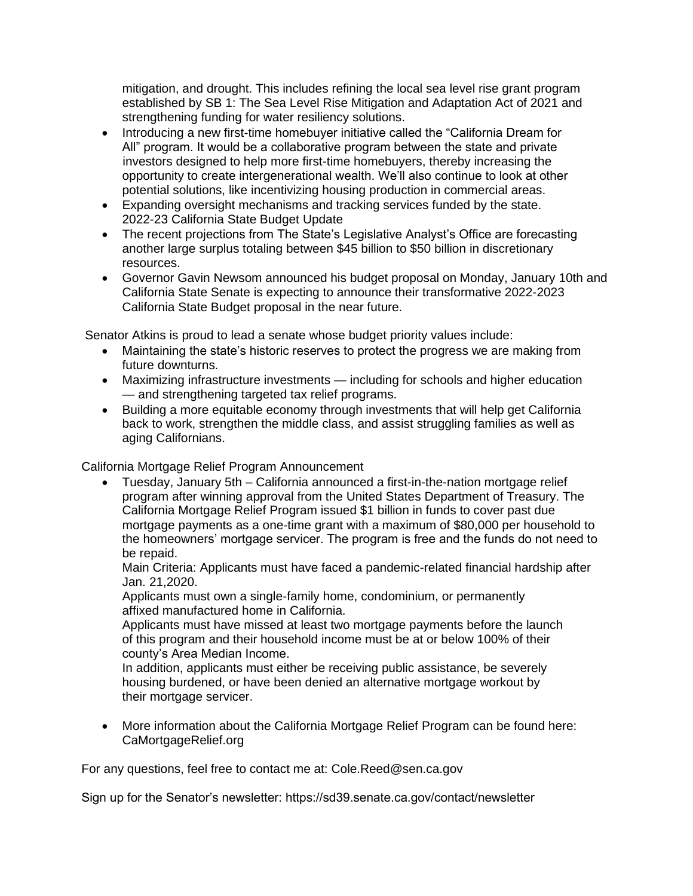mitigation, and drought. This includes refining the local sea level rise grant program established by SB 1: The Sea Level Rise Mitigation and Adaptation Act of 2021 and strengthening funding for water resiliency solutions.

- Introducing a new first-time homebuyer initiative called the "California Dream for All" program. It would be a collaborative program between the state and private investors designed to help more first-time homebuyers, thereby increasing the opportunity to create intergenerational wealth. We'll also continue to look at other potential solutions, like incentivizing housing production in commercial areas.
- Expanding oversight mechanisms and tracking services funded by the state. 2022-23 California State Budget Update
- The recent projections from The State's Legislative Analyst's Office are forecasting another large surplus totaling between \$45 billion to \$50 billion in discretionary resources.
- Governor Gavin Newsom announced his budget proposal on Monday, January 10th and California State Senate is expecting to announce their transformative 2022-2023 California State Budget proposal in the near future.

Senator Atkins is proud to lead a senate whose budget priority values include:

- Maintaining the state's historic reserves to protect the progress we are making from future downturns.
- Maximizing infrastructure investments including for schools and higher education — and strengthening targeted tax relief programs.
- Building a more equitable economy through investments that will help get California back to work, strengthen the middle class, and assist struggling families as well as aging Californians.

California Mortgage Relief Program Announcement

• Tuesday, January 5th – California announced a first-in-the-nation mortgage relief program after winning approval from the United States Department of Treasury. The California Mortgage Relief Program issued \$1 billion in funds to cover past due mortgage payments as a one-time grant with a maximum of \$80,000 per household to the homeowners' mortgage servicer. The program is free and the funds do not need to be repaid.

Main Criteria: Applicants must have faced a pandemic-related financial hardship after Jan. 21,2020.

Applicants must own a single-family home, condominium, or permanently affixed manufactured home in California.

Applicants must have missed at least two mortgage payments before the launch of this program and their household income must be at or below 100% of their county's Area Median Income.

In addition, applicants must either be receiving public assistance, be severely housing burdened, or have been denied an alternative mortgage workout by their mortgage servicer.

• More information about the California Mortgage Relief Program can be found here: CaMortgageRelief.org

For any questions, feel free to contact me at: Cole.Reed@sen.ca.gov

Sign up for the Senator's newsletter: https://sd39.senate.ca.gov/contact/newsletter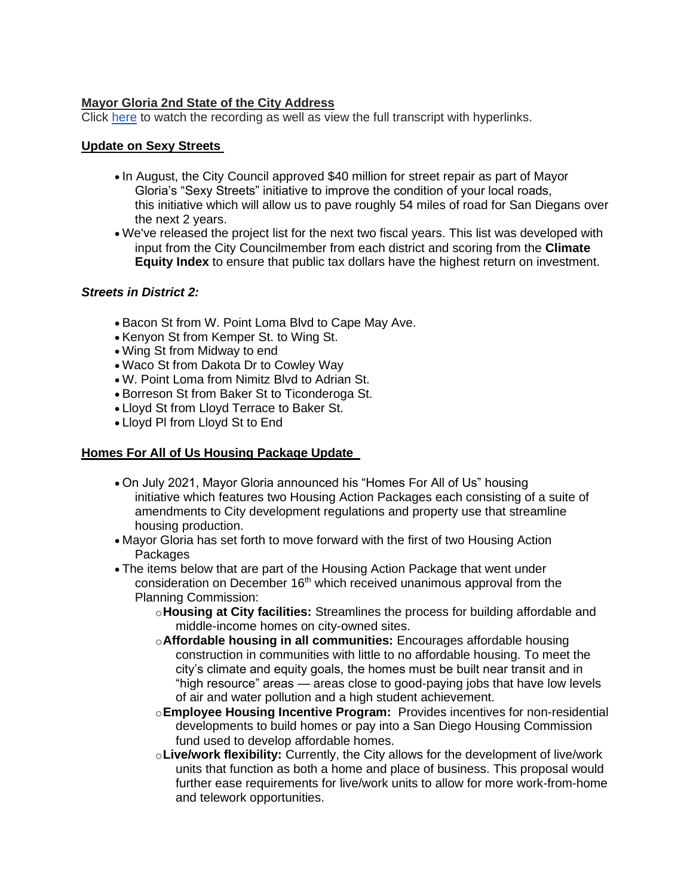# **Mayor Gloria 2nd State of the City Address**

Click [here](https://www.sandiego.gov/mayor/2022-state-of-the-city-address) to watch the recording as well as view the full transcript with hyperlinks.

#### **Update on Sexy Streets**

- In August, the City Council approved \$40 million for street repair as part of Mayor Gloria's "Sexy Streets" initiative to improve the condition of your local roads, this initiative which will allow us to pave roughly 54 miles of road for San Diegans over the next 2 years.
- We've released the project list for the next two fiscal years. This list was developed with input from the City Councilmember from each district and scoring from the **Climate Equity Index** to ensure that public tax dollars have the highest return on investment.

# *Streets in District 2:*

- Bacon St from W. Point Loma Blvd to Cape May Ave.
- Kenyon St from Kemper St. to Wing St.
- Wing St from Midway to end
- Waco St from Dakota Dr to Cowley Way
- W. Point Loma from Nimitz Blvd to Adrian St.
- Borreson St from Baker St to Ticonderoga St.
- Lloyd St from Lloyd Terrace to Baker St.
- Lloyd Pl from Lloyd St to End

# **Homes For All of Us Housing Package Update**

- On July 2021, Mayor Gloria announced his "Homes For All of Us" housing initiative which features two Housing Action Packages each consisting of a suite of amendments to City development regulations and property use that streamline housing production.
- Mayor Gloria has set forth to move forward with the first of two Housing Action **Packages**
- The items below that are part of the Housing Action Package that went under consideration on December  $16<sup>th</sup>$  which received unanimous approval from the Planning Commission:
	- o**Housing at City facilities:** Streamlines the process for building affordable and middle-income homes on city-owned sites.
	- o**Affordable housing in all communities:** Encourages affordable housing construction in communities with little to no affordable housing. To meet the city's climate and equity goals, the homes must be built near transit and in "high resource" areas — areas close to good-paying jobs that have low levels of air and water pollution and a high student achievement.
	- o**Employee Housing Incentive Program:** Provides incentives for non-residential developments to build homes or pay into a San Diego Housing Commission fund used to develop affordable homes.
	- o**Live/work flexibility:** Currently, the City allows for the development of live/work units that function as both a home and place of business. This proposal would further ease requirements for live/work units to allow for more work-from-home and telework opportunities.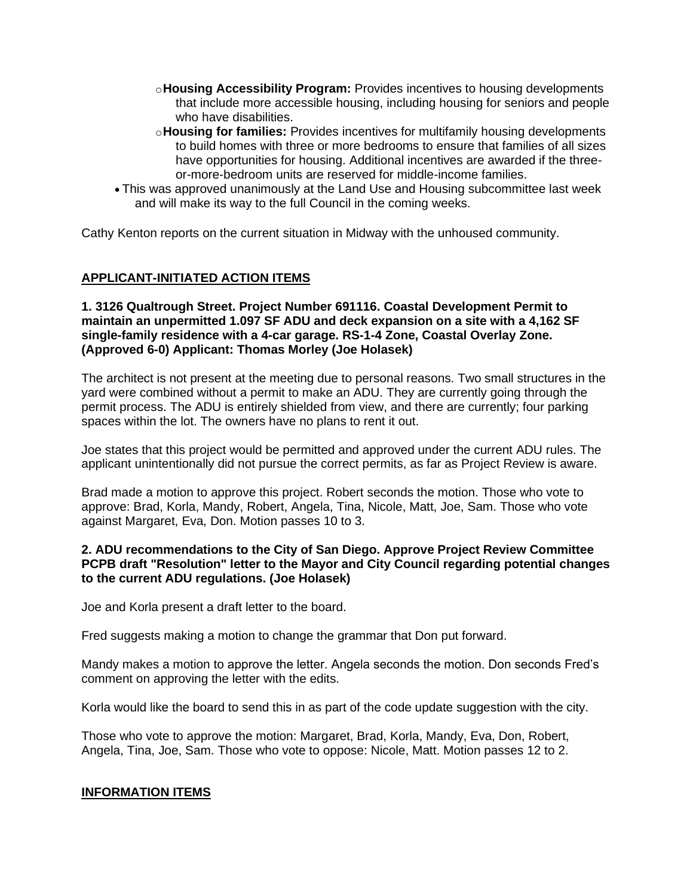- o**Housing Accessibility Program:** Provides incentives to housing developments that include more accessible housing, including housing for seniors and people who have disabilities.
- o**Housing for families:** Provides incentives for multifamily housing developments to build homes with three or more bedrooms to ensure that families of all sizes have opportunities for housing. Additional incentives are awarded if the threeor-more-bedroom units are reserved for middle-income families.
- This was approved unanimously at the Land Use and Housing subcommittee last week and will make its way to the full Council in the coming weeks.

Cathy Kenton reports on the current situation in Midway with the unhoused community.

# **APPLICANT-INITIATED ACTION ITEMS**

**1. 3126 Qualtrough Street. Project Number 691116. Coastal Development Permit to maintain an unpermitted 1.097 SF ADU and deck expansion on a site with a 4,162 SF single-family residence with a 4-car garage. RS-1-4 Zone, Coastal Overlay Zone. (Approved 6-0) Applicant: Thomas Morley (Joe Holasek)**

The architect is not present at the meeting due to personal reasons. Two small structures in the yard were combined without a permit to make an ADU. They are currently going through the permit process. The ADU is entirely shielded from view, and there are currently; four parking spaces within the lot. The owners have no plans to rent it out.

Joe states that this project would be permitted and approved under the current ADU rules. The applicant unintentionally did not pursue the correct permits, as far as Project Review is aware.

Brad made a motion to approve this project. Robert seconds the motion. Those who vote to approve: Brad, Korla, Mandy, Robert, Angela, Tina, Nicole, Matt, Joe, Sam. Those who vote against Margaret, Eva, Don. Motion passes 10 to 3.

#### **2. ADU recommendations to the City of San Diego. Approve Project Review Committee PCPB draft "Resolution" letter to the Mayor and City Council regarding potential changes to the current ADU regulations. (Joe Holasek)**

Joe and Korla present a draft letter to the board.

Fred suggests making a motion to change the grammar that Don put forward.

Mandy makes a motion to approve the letter. Angela seconds the motion. Don seconds Fred's comment on approving the letter with the edits.

Korla would like the board to send this in as part of the code update suggestion with the city.

Those who vote to approve the motion: Margaret, Brad, Korla, Mandy, Eva, Don, Robert, Angela, Tina, Joe, Sam. Those who vote to oppose: Nicole, Matt. Motion passes 12 to 2.

#### **INFORMATION ITEMS**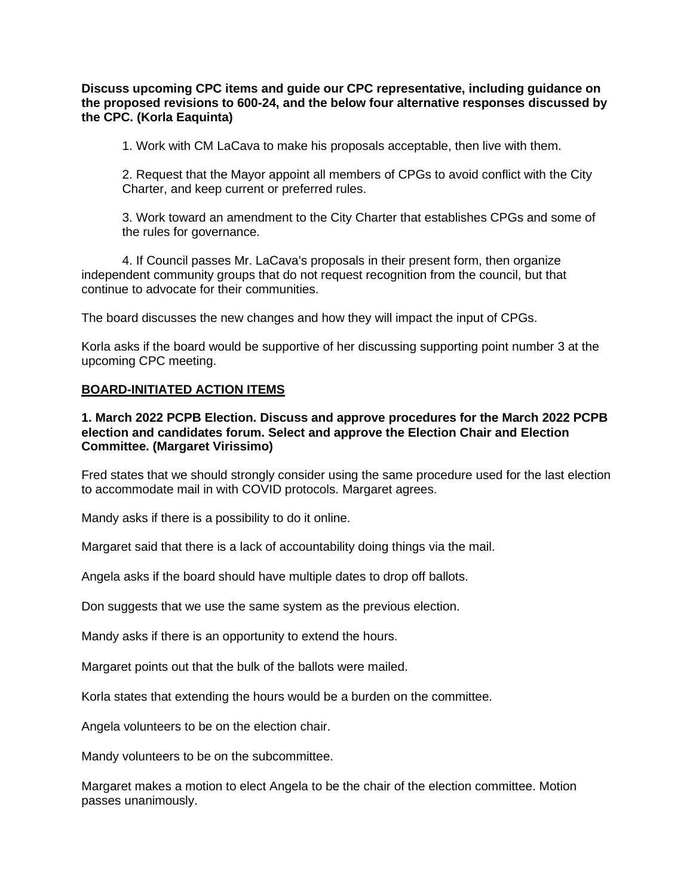**Discuss upcoming CPC items and guide our CPC representative, including guidance on the proposed revisions to 600-24, and the below four alternative responses discussed by the CPC. (Korla Eaquinta)**

1. Work with CM LaCava to make his proposals acceptable, then live with them.

2. Request that the Mayor appoint all members of CPGs to avoid conflict with the City Charter, and keep current or preferred rules.

3. Work toward an amendment to the City Charter that establishes CPGs and some of the rules for governance.

4. If Council passes Mr. LaCava's proposals in their present form, then organize independent community groups that do not request recognition from the council, but that continue to advocate for their communities.

The board discusses the new changes and how they will impact the input of CPGs.

Korla asks if the board would be supportive of her discussing supporting point number 3 at the upcoming CPC meeting.

#### **BOARD-INITIATED ACTION ITEMS**

#### **1. March 2022 PCPB Election. Discuss and approve procedures for the March 2022 PCPB election and candidates forum. Select and approve the Election Chair and Election Committee. (Margaret Virissimo)**

Fred states that we should strongly consider using the same procedure used for the last election to accommodate mail in with COVID protocols. Margaret agrees.

Mandy asks if there is a possibility to do it online.

Margaret said that there is a lack of accountability doing things via the mail.

Angela asks if the board should have multiple dates to drop off ballots.

Don suggests that we use the same system as the previous election.

Mandy asks if there is an opportunity to extend the hours.

Margaret points out that the bulk of the ballots were mailed.

Korla states that extending the hours would be a burden on the committee.

Angela volunteers to be on the election chair.

Mandy volunteers to be on the subcommittee.

Margaret makes a motion to elect Angela to be the chair of the election committee. Motion passes unanimously.